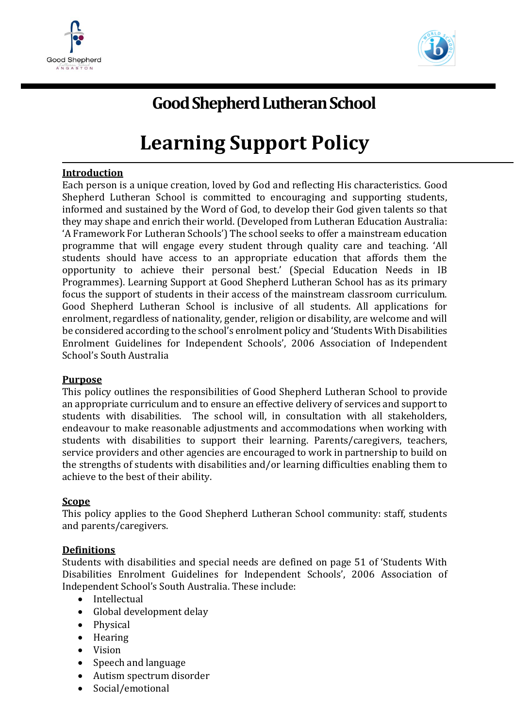



# **Good Shepherd Lutheran School**

# **Learning Support Policy**

#### **Introduction**

Each person is a unique creation, loved by God and reflecting His characteristics. Good Shepherd Lutheran School is committed to encouraging and supporting students, informed and sustained by the Word of God, to develop their God given talents so that they may shape and enrich their world. (Developed from Lutheran Education Australia: 'A Framework For Lutheran Schools') The school seeks to offer a mainstream education programme that will engage every student through quality care and teaching. 'All students should have access to an appropriate education that affords them the opportunity to achieve their personal best.' (Special Education Needs in IB Programmes). Learning Support at Good Shepherd Lutheran School has as its primary focus the support of students in their access of the mainstream classroom curriculum. Good Shepherd Lutheran School is inclusive of all students. All applications for enrolment, regardless of nationality, gender, religion or disability, are welcome and will be considered according to the school's enrolment policy and 'Students With Disabilities Enrolment Guidelines for Independent Schools', 2006 Association of Independent School's South Australia

#### **Purpose**

This policy outlines the responsibilities of Good Shepherd Lutheran School to provide an appropriate curriculum and to ensure an effective delivery of services and support to students with disabilities. The school will, in consultation with all stakeholders, endeavour to make reasonable adjustments and accommodations when working with students with disabilities to support their learning. Parents/caregivers, teachers, service providers and other agencies are encouraged to work in partnership to build on the strengths of students with disabilities and/or learning difficulties enabling them to achieve to the best of their ability.

#### **Scope**

This policy applies to the Good Shepherd Lutheran School community: staff, students and parents/caregivers.

#### **Definitions**

Students with disabilities and special needs are defined on page 51 of 'Students With Disabilities Enrolment Guidelines for Independent Schools', 2006 Association of Independent School's South Australia. These include:

- Intellectual
- Global development delay
- Physical
- Hearing
- Vision
- Speech and language
- Autism spectrum disorder
- Social/emotional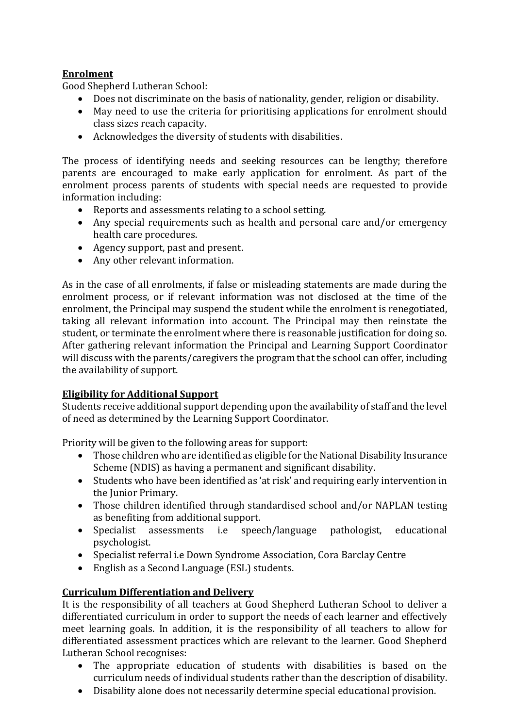# **Enrolment**

Good Shepherd Lutheran School:

- Does not discriminate on the basis of nationality, gender, religion or disability.
- May need to use the criteria for prioritising applications for enrolment should class sizes reach capacity.
- Acknowledges the diversity of students with disabilities.

The process of identifying needs and seeking resources can be lengthy; therefore parents are encouraged to make early application for enrolment. As part of the enrolment process parents of students with special needs are requested to provide information including:

- Reports and assessments relating to a school setting.
- Any special requirements such as health and personal care and/or emergency health care procedures.
- Agency support, past and present.
- Any other relevant information.

As in the case of all enrolments, if false or misleading statements are made during the enrolment process, or if relevant information was not disclosed at the time of the enrolment, the Principal may suspend the student while the enrolment is renegotiated, taking all relevant information into account. The Principal may then reinstate the student, or terminate the enrolment where there is reasonable justification for doing so. After gathering relevant information the Principal and Learning Support Coordinator will discuss with the parents/caregivers the program that the school can offer, including the availability of support.

#### **Eligibility for Additional Support**

Students receive additional support depending upon the availability of staff and the level of need as determined by the Learning Support Coordinator.

Priority will be given to the following areas for support:

- Those children who are identified as eligible for the National Disability Insurance Scheme (NDIS) as having a permanent and significant disability.
- Students who have been identified as 'at risk' and requiring early intervention in the Junior Primary.
- Those children identified through standardised school and/or NAPLAN testing as benefiting from additional support.
- Specialist assessments i.e speech/language pathologist, educational psychologist.
- Specialist referral i.e Down Syndrome Association, Cora Barclay Centre
- English as a Second Language (ESL) students.

# **Curriculum Differentiation and Delivery**

It is the responsibility of all teachers at Good Shepherd Lutheran School to deliver a differentiated curriculum in order to support the needs of each learner and effectively meet learning goals. In addition, it is the responsibility of all teachers to allow for differentiated assessment practices which are relevant to the learner. Good Shepherd Lutheran School recognises:

- The appropriate education of students with disabilities is based on the curriculum needs of individual students rather than the description of disability.
- Disability alone does not necessarily determine special educational provision.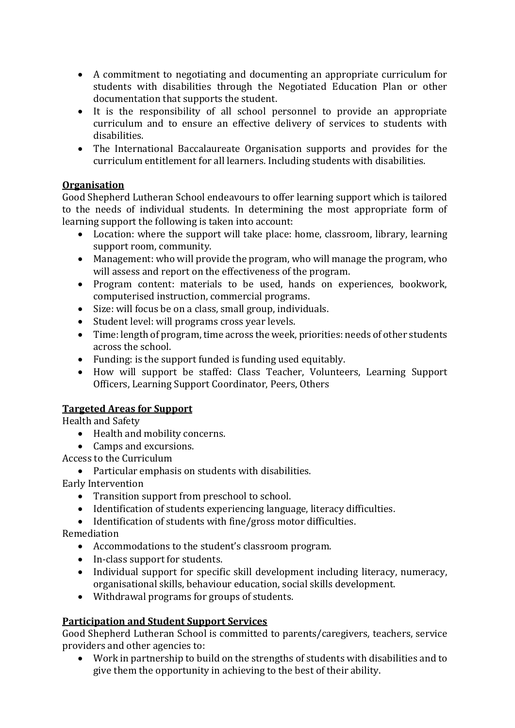- A commitment to negotiating and documenting an appropriate curriculum for students with disabilities through the Negotiated Education Plan or other documentation that supports the student.
- It is the responsibility of all school personnel to provide an appropriate curriculum and to ensure an effective delivery of services to students with disabilities.
- The International Baccalaureate Organisation supports and provides for the curriculum entitlement for all learners. Including students with disabilities.

# **Organisation**

Good Shepherd Lutheran School endeavours to offer learning support which is tailored to the needs of individual students. In determining the most appropriate form of learning support the following is taken into account:

- Location: where the support will take place: home, classroom, library, learning support room, community.
- Management: who will provide the program, who will manage the program, who will assess and report on the effectiveness of the program.
- Program content: materials to be used, hands on experiences, bookwork, computerised instruction, commercial programs.
- Size: will focus be on a class, small group, individuals.
- Student level: will programs cross year levels.
- Time: length of program, time across the week, priorities: needs of other students across the school.
- Funding: is the support funded is funding used equitably.
- How will support be staffed: Class Teacher, Volunteers, Learning Support Officers, Learning Support Coordinator, Peers, Others

# **Targeted Areas for Support**

Health and Safety

- Health and mobility concerns.
- Camps and excursions.

Access to the Curriculum

Particular emphasis on students with disabilities.

Early Intervention

- Transition support from preschool to school.
- Identification of students experiencing language, literacy difficulties.
- Identification of students with fine/gross motor difficulties.

Remediation

- Accommodations to the student's classroom program.
- In-class support for students.
- Individual support for specific skill development including literacy, numeracy, organisational skills, behaviour education, social skills development.
- Withdrawal programs for groups of students.

# **Participation and Student Support Services**

Good Shepherd Lutheran School is committed to parents/caregivers, teachers, service providers and other agencies to:

 Work in partnership to build on the strengths of students with disabilities and to give them the opportunity in achieving to the best of their ability.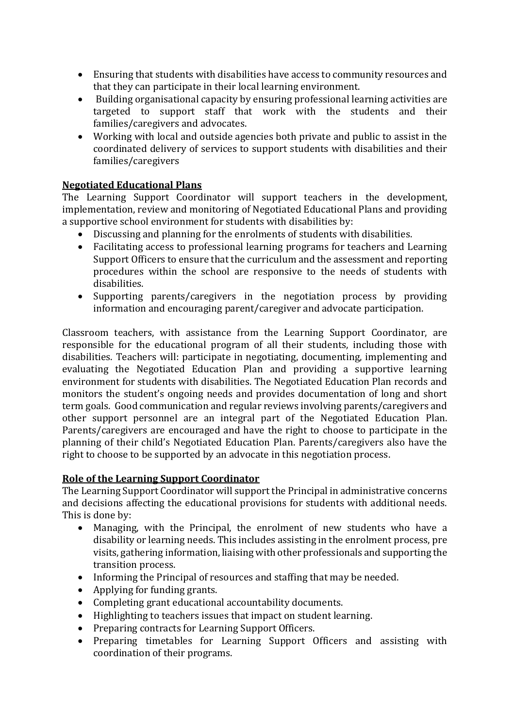- Ensuring that students with disabilities have access to community resources and that they can participate in their local learning environment.
- Building organisational capacity by ensuring professional learning activities are targeted to support staff that work with the students and their families/caregivers and advocates.
- Working with local and outside agencies both private and public to assist in the coordinated delivery of services to support students with disabilities and their families/caregivers

#### **Negotiated Educational Plans**

The Learning Support Coordinator will support teachers in the development, implementation, review and monitoring of Negotiated Educational Plans and providing a supportive school environment for students with disabilities by:

- Discussing and planning for the enrolments of students with disabilities.
- Facilitating access to professional learning programs for teachers and Learning Support Officers to ensure that the curriculum and the assessment and reporting procedures within the school are responsive to the needs of students with disabilities.
- Supporting parents/caregivers in the negotiation process by providing information and encouraging parent/caregiver and advocate participation.

Classroom teachers, with assistance from the Learning Support Coordinator, are responsible for the educational program of all their students, including those with disabilities. Teachers will: participate in negotiating, documenting, implementing and evaluating the Negotiated Education Plan and providing a supportive learning environment for students with disabilities. The Negotiated Education Plan records and monitors the student's ongoing needs and provides documentation of long and short term goals. Good communication and regular reviews involving parents/caregivers and other support personnel are an integral part of the Negotiated Education Plan. Parents/caregivers are encouraged and have the right to choose to participate in the planning of their child's Negotiated Education Plan. Parents/caregivers also have the right to choose to be supported by an advocate in this negotiation process.

#### **Role of the Learning Support Coordinator**

The Learning Support Coordinator will support the Principal in administrative concerns and decisions affecting the educational provisions for students with additional needs. This is done by:

- Managing, with the Principal, the enrolment of new students who have a disability or learning needs. This includes assisting in the enrolment process, pre visits, gathering information, liaising with other professionals and supporting the transition process.
- Informing the Principal of resources and staffing that may be needed.
- Applying for funding grants.
- Completing grant educational accountability documents.
- Highlighting to teachers issues that impact on student learning.
- Preparing contracts for Learning Support Officers.
- Preparing timetables for Learning Support Officers and assisting with coordination of their programs.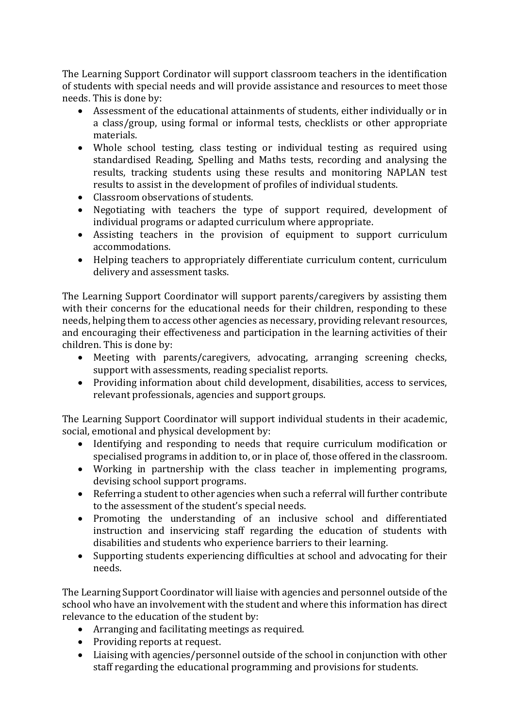The Learning Support Cordinator will support classroom teachers in the identification of students with special needs and will provide assistance and resources to meet those needs. This is done by:

- Assessment of the educational attainments of students, either individually or in a class/group, using formal or informal tests, checklists or other appropriate materials.
- Whole school testing, class testing or individual testing as required using standardised Reading, Spelling and Maths tests, recording and analysing the results, tracking students using these results and monitoring NAPLAN test results to assist in the development of profiles of individual students.
- Classroom observations of students
- Negotiating with teachers the type of support required, development of individual programs or adapted curriculum where appropriate.
- Assisting teachers in the provision of equipment to support curriculum accommodations.
- Helping teachers to appropriately differentiate curriculum content, curriculum delivery and assessment tasks.

The Learning Support Coordinator will support parents/caregivers by assisting them with their concerns for the educational needs for their children, responding to these needs, helping them to access other agencies as necessary, providing relevant resources, and encouraging their effectiveness and participation in the learning activities of their children. This is done by:

- Meeting with parents/caregivers, advocating, arranging screening checks, support with assessments, reading specialist reports.
- Providing information about child development, disabilities, access to services, relevant professionals, agencies and support groups.

The Learning Support Coordinator will support individual students in their academic, social, emotional and physical development by:

- Identifying and responding to needs that require curriculum modification or specialised programs in addition to, or in place of, those offered in the classroom.
- Working in partnership with the class teacher in implementing programs, devising school support programs.
- Referring a student to other agencies when such a referral will further contribute to the assessment of the student's special needs.
- Promoting the understanding of an inclusive school and differentiated instruction and inservicing staff regarding the education of students with disabilities and students who experience barriers to their learning.
- Supporting students experiencing difficulties at school and advocating for their needs.

The Learning Support Coordinator will liaise with agencies and personnel outside of the school who have an involvement with the student and where this information has direct relevance to the education of the student by:

- Arranging and facilitating meetings as required.
- Providing reports at request.
- Liaising with agencies/personnel outside of the school in conjunction with other staff regarding the educational programming and provisions for students.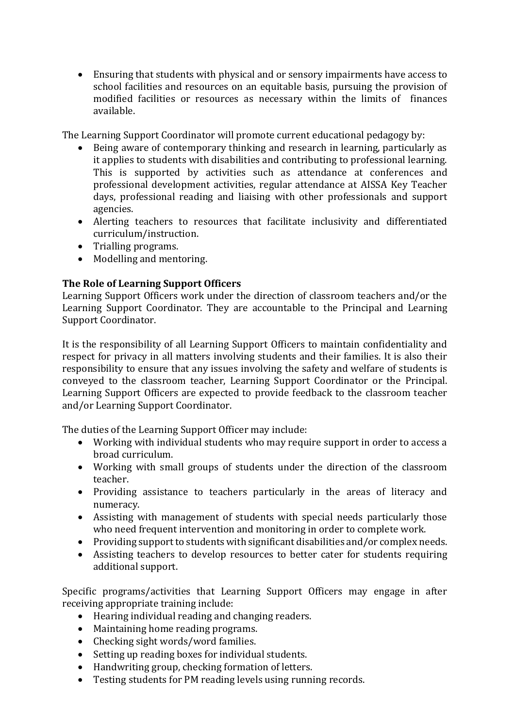Ensuring that students with physical and or sensory impairments have access to school facilities and resources on an equitable basis, pursuing the provision of modified facilities or resources as necessary within the limits of finances available.

The Learning Support Coordinator will promote current educational pedagogy by:

- Being aware of contemporary thinking and research in learning, particularly as it applies to students with disabilities and contributing to professional learning. This is supported by activities such as attendance at conferences and professional development activities, regular attendance at AISSA Key Teacher days, professional reading and liaising with other professionals and support agencies.
- Alerting teachers to resources that facilitate inclusivity and differentiated curriculum/instruction.
- Trialling programs.
- Modelling and mentoring.

# **The Role of Learning Support Officers**

Learning Support Officers work under the direction of classroom teachers and/or the Learning Support Coordinator. They are accountable to the Principal and Learning Support Coordinator.

It is the responsibility of all Learning Support Officers to maintain confidentiality and respect for privacy in all matters involving students and their families. It is also their responsibility to ensure that any issues involving the safety and welfare of students is conveyed to the classroom teacher, Learning Support Coordinator or the Principal. Learning Support Officers are expected to provide feedback to the classroom teacher and/or Learning Support Coordinator.

The duties of the Learning Support Officer may include:

- Working with individual students who may require support in order to access a broad curriculum.
- Working with small groups of students under the direction of the classroom teacher.
- Providing assistance to teachers particularly in the areas of literacy and numeracy.
- Assisting with management of students with special needs particularly those who need frequent intervention and monitoring in order to complete work.
- Providing support to students with significant disabilities and/or complex needs.
- Assisting teachers to develop resources to better cater for students requiring additional support.

Specific programs/activities that Learning Support Officers may engage in after receiving appropriate training include:

- Hearing individual reading and changing readers.
- Maintaining home reading programs.
- Checking sight words/word families.
- Setting up reading boxes for individual students.
- Handwriting group, checking formation of letters.
- Testing students for PM reading levels using running records.